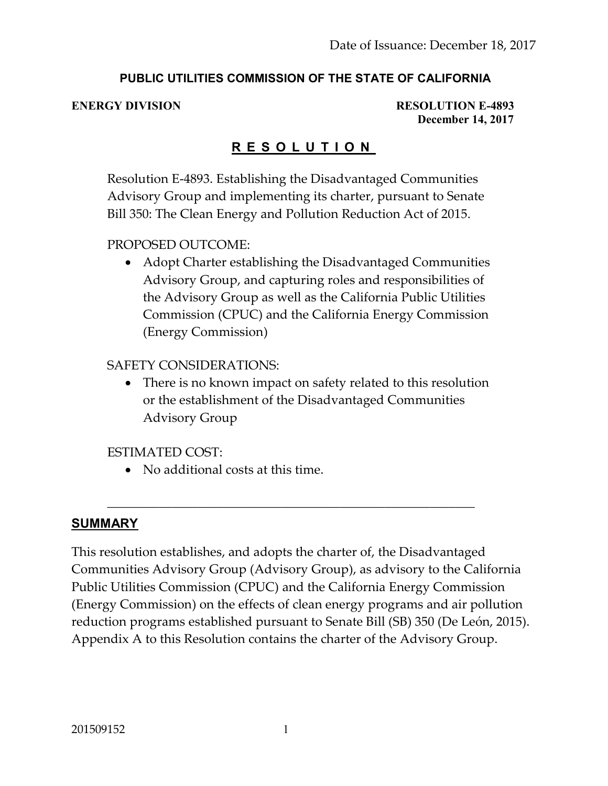#### **PUBLIC UTILITIES COMMISSION OF THE STATE OF CALIFORNIA**

**ENERGY DIVISION RESOLUTION E-4893 December 14, 2017**

### **R E S O L U T I O N**

Resolution E-4893. Establishing the Disadvantaged Communities Advisory Group and implementing its charter, pursuant to Senate Bill 350: The Clean Energy and Pollution Reduction Act of 2015.

#### PROPOSED OUTCOME:

 Adopt Charter establishing the Disadvantaged Communities Advisory Group, and capturing roles and responsibilities of the Advisory Group as well as the California Public Utilities Commission (CPUC) and the California Energy Commission (Energy Commission)

#### SAFETY CONSIDERATIONS:

• There is no known impact on safety related to this resolution or the establishment of the Disadvantaged Communities Advisory Group

#### ESTIMATED COST:

• No additional costs at this time.

#### **SUMMARY**

This resolution establishes, and adopts the charter of, the Disadvantaged Communities Advisory Group (Advisory Group), as advisory to the California Public Utilities Commission (CPUC) and the California Energy Commission (Energy Commission) on the effects of clean energy programs and air pollution reduction programs established pursuant to Senate Bill (SB) 350 (De León, 2015). Appendix A to this Resolution contains the charter of the Advisory Group.

\_\_\_\_\_\_\_\_\_\_\_\_\_\_\_\_\_\_\_\_\_\_\_\_\_\_\_\_\_\_\_\_\_\_\_\_\_\_\_\_\_\_\_\_\_\_\_\_\_\_\_\_\_\_\_\_\_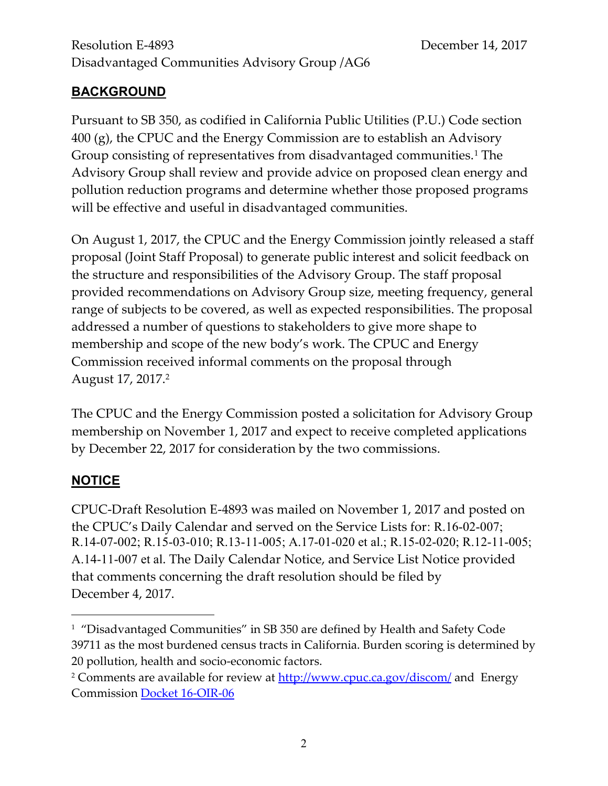# **BACKGROUND**

Pursuant to SB 350, as codified in California Public Utilities (P.U.) Code section 400 (g), the CPUC and the Energy Commission are to establish an Advisory Group consisting of representatives from disadvantaged communities.<sup>1</sup> The Advisory Group shall review and provide advice on proposed clean energy and pollution reduction programs and determine whether those proposed programs will be effective and useful in disadvantaged communities.

On August 1, 2017, the CPUC and the Energy Commission jointly released a staff proposal (Joint Staff Proposal) to generate public interest and solicit feedback on the structure and responsibilities of the Advisory Group. The staff proposal provided recommendations on Advisory Group size, meeting frequency, general range of subjects to be covered, as well as expected responsibilities. The proposal addressed a number of questions to stakeholders to give more shape to membership and scope of the new body's work. The CPUC and Energy Commission received informal comments on the proposal through August 17, 2017.<sup>2</sup>

The CPUC and the Energy Commission posted a solicitation for Advisory Group membership on November 1, 2017 and expect to receive completed applications by December 22, 2017 for consideration by the two commissions.

# **NOTICE**

 $\overline{a}$ 

CPUC-Draft Resolution E-4893 was mailed on November 1, 2017 and posted on the CPUC's Daily Calendar and served on the Service Lists for: R.16-02-007; R.14-07-002; R.15-03-010; R.13-11-005; A.17-01-020 et al.; R.15-02-020; R.12-11-005; A.14-11-007 et al. The Daily Calendar Notice, and Service List Notice provided that comments concerning the draft resolution should be filed by December 4, 2017.

<sup>1</sup> "Disadvantaged Communities" in SB 350 are defined by Health and Safety Code 39711 as the most burdened census tracts in California. Burden scoring is determined by 20 pollution, health and socio-economic factors.

<sup>&</sup>lt;sup>2</sup> Comments are available for review at<http://www.cpuc.ca.gov/discom/> and Energy Commission [Docket 16-OIR-06](https://efiling.energy.ca.gov/Lists/DocketLog.aspx?docketnumber=16-OIR-06)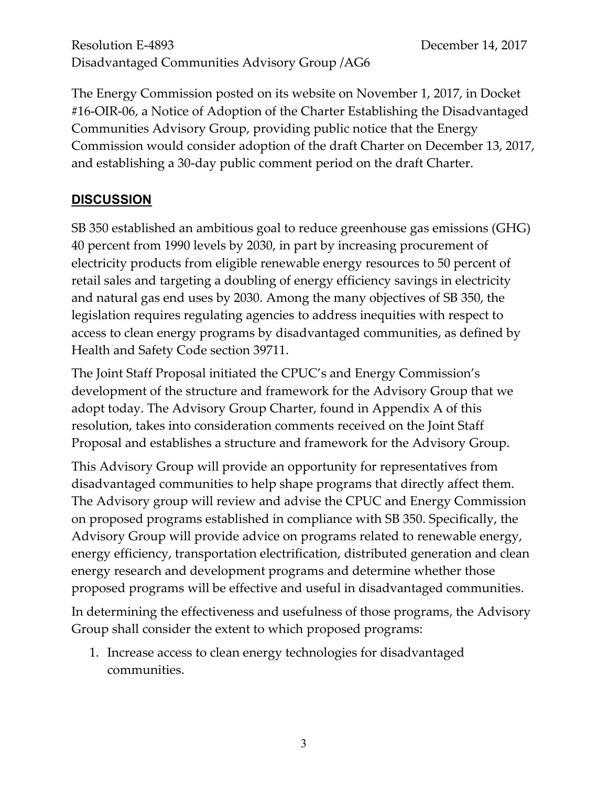The Energy Commission posted on its website on November 1, 2017, in Docket #16-OIR-06, a Notice of Adoption of the Charter Establishing the Disadvantaged Communities Advisory Group, providing public notice that the Energy Commission would consider adoption of the draft Charter on December 13, 2017, and establishing a 30-day public comment period on the draft Charter.

# **DISCUSSION**

SB 350 established an ambitious goal to reduce greenhouse gas emissions (GHG) 40 percent from 1990 levels by 2030, in part by increasing procurement of electricity products from eligible renewable energy resources to 50 percent of retail sales and targeting a doubling of energy efficiency savings in electricity and natural gas end uses by 2030. Among the many objectives of SB 350, the legislation requires regulating agencies to address inequities with respect to access to clean energy programs by disadvantaged communities, as defined by Health and Safety Code section 39711.

The Joint Staff Proposal initiated the CPUC's and Energy Commission's development of the structure and framework for the Advisory Group that we adopt today. The Advisory Group Charter, found in Appendix A of this resolution, takes into consideration comments received on the Joint Staff Proposal and establishes a structure and framework for the Advisory Group.

This Advisory Group will provide an opportunity for representatives from disadvantaged communities to help shape programs that directly affect them. The Advisory group will review and advise the CPUC and Energy Commission on proposed programs established in compliance with SB 350. Specifically, the Advisory Group will provide advice on programs related to renewable energy, energy efficiency, transportation electrification, distributed generation and clean energy research and development programs and determine whether those proposed programs will be effective and useful in disadvantaged communities.

In determining the effectiveness and usefulness of those programs, the Advisory Group shall consider the extent to which proposed programs:

1. Increase access to clean energy technologies for disadvantaged communities.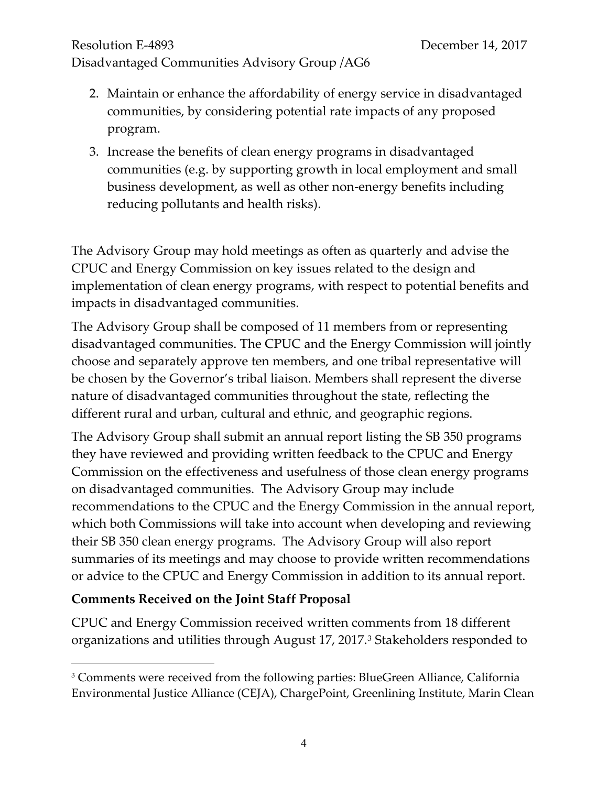- 2. Maintain or enhance the affordability of energy service in disadvantaged communities, by considering potential rate impacts of any proposed program.
- 3. Increase the benefits of clean energy programs in disadvantaged communities (e.g. by supporting growth in local employment and small business development, as well as other non-energy benefits including reducing pollutants and health risks).

The Advisory Group may hold meetings as often as quarterly and advise the CPUC and Energy Commission on key issues related to the design and implementation of clean energy programs, with respect to potential benefits and impacts in disadvantaged communities.

The Advisory Group shall be composed of 11 members from or representing disadvantaged communities. The CPUC and the Energy Commission will jointly choose and separately approve ten members, and one tribal representative will be chosen by the Governor's tribal liaison. Members shall represent the diverse nature of disadvantaged communities throughout the state, reflecting the different rural and urban, cultural and ethnic, and geographic regions.

The Advisory Group shall submit an annual report listing the SB 350 programs they have reviewed and providing written feedback to the CPUC and Energy Commission on the effectiveness and usefulness of those clean energy programs on disadvantaged communities. The Advisory Group may include recommendations to the CPUC and the Energy Commission in the annual report, which both Commissions will take into account when developing and reviewing their SB 350 clean energy programs. The Advisory Group will also report summaries of its meetings and may choose to provide written recommendations or advice to the CPUC and Energy Commission in addition to its annual report.

# **Comments Received on the Joint Staff Proposal**

 $\overline{a}$ 

CPUC and Energy Commission received written comments from 18 different organizations and utilities through August 17, 2017.<sup>3</sup> Stakeholders responded to

<sup>&</sup>lt;sup>3</sup> Comments were received from the following parties: BlueGreen Alliance, California Environmental Justice Alliance (CEJA), ChargePoint, Greenlining Institute, Marin Clean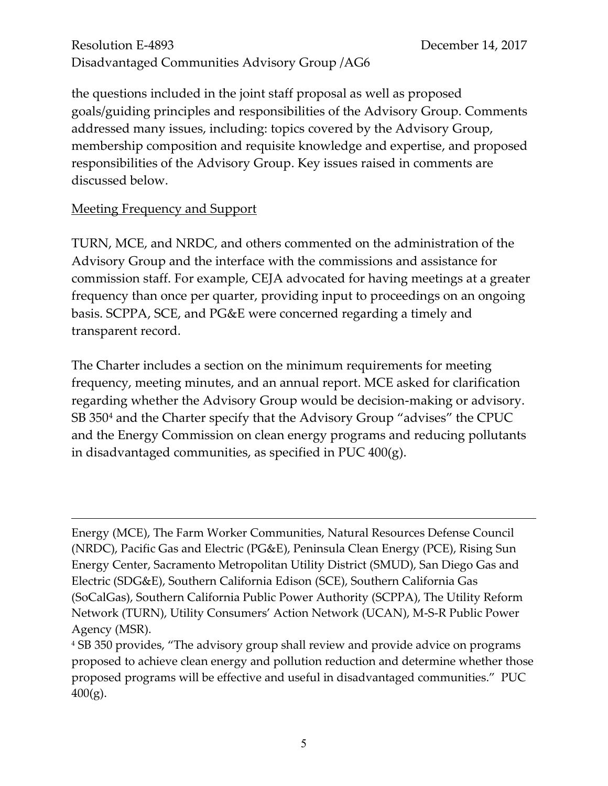the questions included in the joint staff proposal as well as proposed goals/guiding principles and responsibilities of the Advisory Group. Comments addressed many issues, including: topics covered by the Advisory Group, membership composition and requisite knowledge and expertise, and proposed responsibilities of the Advisory Group. Key issues raised in comments are discussed below.

#### Meeting Frequency and Support

 $\overline{a}$ 

TURN, MCE, and NRDC, and others commented on the administration of the Advisory Group and the interface with the commissions and assistance for commission staff. For example, CEJA advocated for having meetings at a greater frequency than once per quarter, providing input to proceedings on an ongoing basis. SCPPA, SCE, and PG&E were concerned regarding a timely and transparent record.

The Charter includes a section on the minimum requirements for meeting frequency, meeting minutes, and an annual report. MCE asked for clarification regarding whether the Advisory Group would be decision-making or advisory. SB 350<sup>4</sup> and the Charter specify that the Advisory Group "advises" the CPUC and the Energy Commission on clean energy programs and reducing pollutants in disadvantaged communities, as specified in PUC 400(g).

Energy (MCE), The Farm Worker Communities, Natural Resources Defense Council (NRDC), Pacific Gas and Electric (PG&E), Peninsula Clean Energy (PCE), Rising Sun Energy Center, Sacramento Metropolitan Utility District (SMUD), San Diego Gas and Electric (SDG&E), Southern California Edison (SCE), Southern California Gas (SoCalGas), Southern California Public Power Authority (SCPPA), The Utility Reform Network (TURN), Utility Consumers' Action Network (UCAN), M-S-R Public Power Agency (MSR).

<sup>4</sup> SB 350 provides, "The advisory group shall review and provide advice on programs proposed to achieve clean energy and pollution reduction and determine whether those proposed programs will be effective and useful in disadvantaged communities." PUC  $400(g)$ .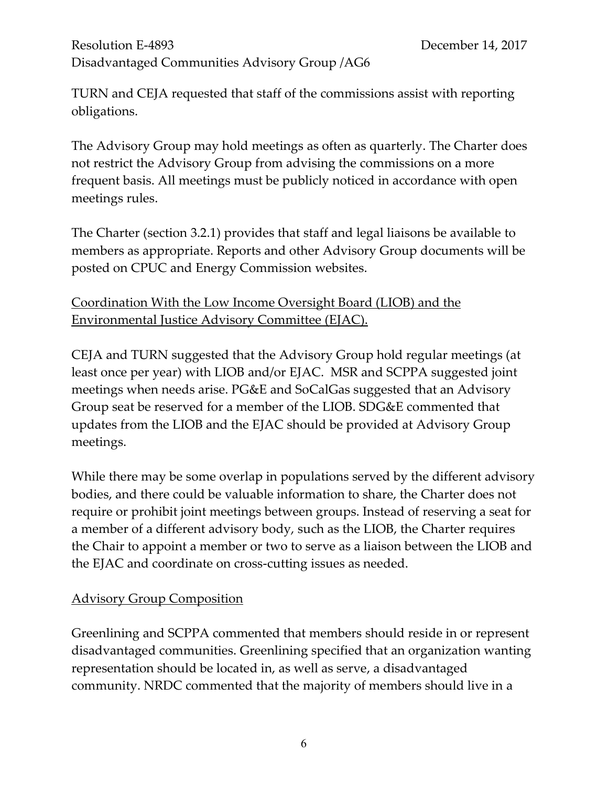TURN and CEJA requested that staff of the commissions assist with reporting obligations.

The Advisory Group may hold meetings as often as quarterly. The Charter does not restrict the Advisory Group from advising the commissions on a more frequent basis. All meetings must be publicly noticed in accordance with open meetings rules.

The Charter (section 3.2.1) provides that staff and legal liaisons be available to members as appropriate. Reports and other Advisory Group documents will be posted on CPUC and Energy Commission websites.

# Coordination With the Low Income Oversight Board (LIOB) and the Environmental Justice Advisory Committee (EJAC).

CEJA and TURN suggested that the Advisory Group hold regular meetings (at least once per year) with LIOB and/or EJAC. MSR and SCPPA suggested joint meetings when needs arise. PG&E and SoCalGas suggested that an Advisory Group seat be reserved for a member of the LIOB. SDG&E commented that updates from the LIOB and the EJAC should be provided at Advisory Group meetings.

While there may be some overlap in populations served by the different advisory bodies, and there could be valuable information to share, the Charter does not require or prohibit joint meetings between groups. Instead of reserving a seat for a member of a different advisory body, such as the LIOB, the Charter requires the Chair to appoint a member or two to serve as a liaison between the LIOB and the EJAC and coordinate on cross-cutting issues as needed.

#### Advisory Group Composition

Greenlining and SCPPA commented that members should reside in or represent disadvantaged communities. Greenlining specified that an organization wanting representation should be located in, as well as serve, a disadvantaged community. NRDC commented that the majority of members should live in a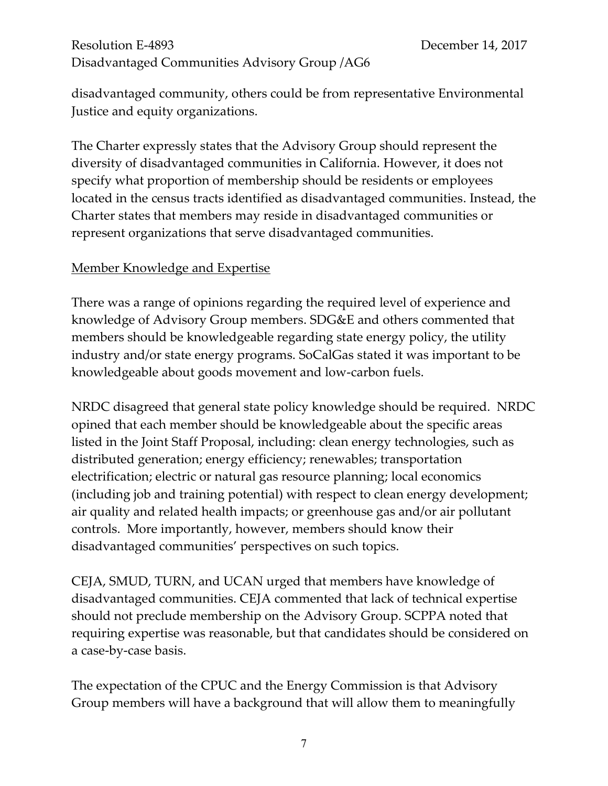disadvantaged community, others could be from representative Environmental Justice and equity organizations.

The Charter expressly states that the Advisory Group should represent the diversity of disadvantaged communities in California. However, it does not specify what proportion of membership should be residents or employees located in the census tracts identified as disadvantaged communities. Instead, the Charter states that members may reside in disadvantaged communities or represent organizations that serve disadvantaged communities.

#### Member Knowledge and Expertise

There was a range of opinions regarding the required level of experience and knowledge of Advisory Group members. SDG&E and others commented that members should be knowledgeable regarding state energy policy, the utility industry and/or state energy programs. SoCalGas stated it was important to be knowledgeable about goods movement and low-carbon fuels.

NRDC disagreed that general state policy knowledge should be required. NRDC opined that each member should be knowledgeable about the specific areas listed in the Joint Staff Proposal, including: clean energy technologies, such as distributed generation; energy efficiency; renewables; transportation electrification; electric or natural gas resource planning; local economics (including job and training potential) with respect to clean energy development; air quality and related health impacts; or greenhouse gas and/or air pollutant controls. More importantly, however, members should know their disadvantaged communities' perspectives on such topics.

CEJA, SMUD, TURN, and UCAN urged that members have knowledge of disadvantaged communities. CEJA commented that lack of technical expertise should not preclude membership on the Advisory Group. SCPPA noted that requiring expertise was reasonable, but that candidates should be considered on a case-by-case basis.

The expectation of the CPUC and the Energy Commission is that Advisory Group members will have a background that will allow them to meaningfully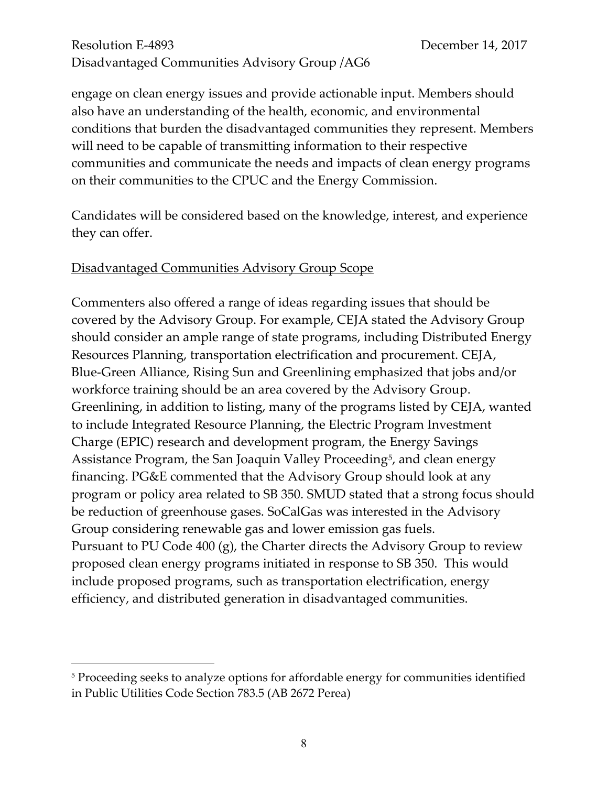engage on clean energy issues and provide actionable input. Members should also have an understanding of the health, economic, and environmental conditions that burden the disadvantaged communities they represent. Members will need to be capable of transmitting information to their respective communities and communicate the needs and impacts of clean energy programs on their communities to the CPUC and the Energy Commission.

Candidates will be considered based on the knowledge, interest, and experience they can offer.

#### Disadvantaged Communities Advisory Group Scope

 $\overline{a}$ 

Commenters also offered a range of ideas regarding issues that should be covered by the Advisory Group. For example, CEJA stated the Advisory Group should consider an ample range of state programs, including Distributed Energy Resources Planning, transportation electrification and procurement. CEJA, Blue-Green Alliance, Rising Sun and Greenlining emphasized that jobs and/or workforce training should be an area covered by the Advisory Group. Greenlining, in addition to listing, many of the programs listed by CEJA, wanted to include Integrated Resource Planning, the Electric Program Investment Charge (EPIC) research and development program, the Energy Savings Assistance Program, the San Joaquin Valley Proceeding<sup>5</sup>, and clean energy financing. PG&E commented that the Advisory Group should look at any program or policy area related to SB 350. SMUD stated that a strong focus should be reduction of greenhouse gases. SoCalGas was interested in the Advisory Group considering renewable gas and lower emission gas fuels. Pursuant to PU Code 400 (g), the Charter directs the Advisory Group to review proposed clean energy programs initiated in response to SB 350. This would include proposed programs, such as transportation electrification, energy efficiency, and distributed generation in disadvantaged communities.

<sup>&</sup>lt;sup>5</sup> Proceeding seeks to analyze options for affordable energy for communities identified in Public Utilities Code Section 783.5 (AB 2672 Perea)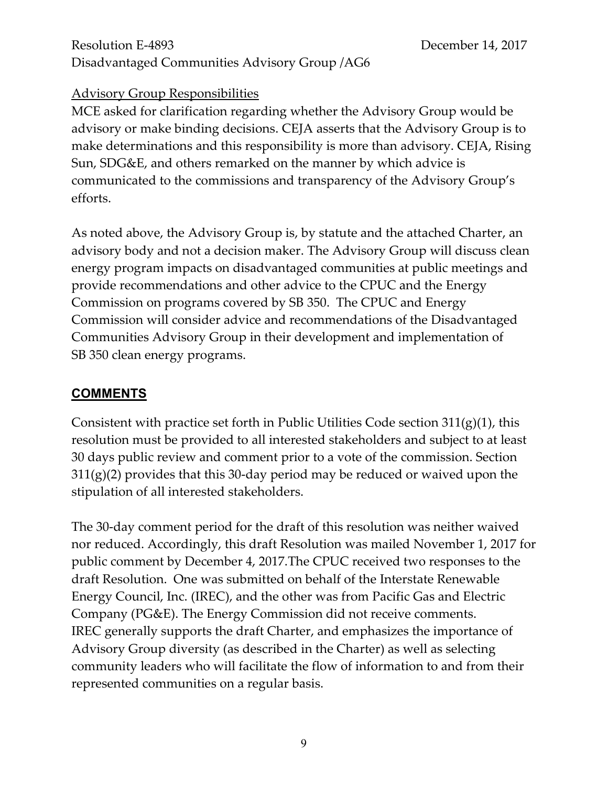#### Advisory Group Responsibilities

MCE asked for clarification regarding whether the Advisory Group would be advisory or make binding decisions. CEJA asserts that the Advisory Group is to make determinations and this responsibility is more than advisory. CEJA, Rising Sun, SDG&E, and others remarked on the manner by which advice is communicated to the commissions and transparency of the Advisory Group's efforts.

As noted above, the Advisory Group is, by statute and the attached Charter, an advisory body and not a decision maker. The Advisory Group will discuss clean energy program impacts on disadvantaged communities at public meetings and provide recommendations and other advice to the CPUC and the Energy Commission on programs covered by SB 350. The CPUC and Energy Commission will consider advice and recommendations of the Disadvantaged Communities Advisory Group in their development and implementation of SB 350 clean energy programs.

#### **COMMENTS**

Consistent with practice set forth in Public Utilities Code section 311(g)(1), this resolution must be provided to all interested stakeholders and subject to at least 30 days public review and comment prior to a vote of the commission. Section  $311(g)(2)$  provides that this 30-day period may be reduced or waived upon the stipulation of all interested stakeholders.

The 30-day comment period for the draft of this resolution was neither waived nor reduced. Accordingly, this draft Resolution was mailed November 1, 2017 for public comment by December 4, 2017.The CPUC received two responses to the draft Resolution. One was submitted on behalf of the Interstate Renewable Energy Council, Inc. (IREC), and the other was from Pacific Gas and Electric Company (PG&E). The Energy Commission did not receive comments. IREC generally supports the draft Charter, and emphasizes the importance of Advisory Group diversity (as described in the Charter) as well as selecting community leaders who will facilitate the flow of information to and from their represented communities on a regular basis.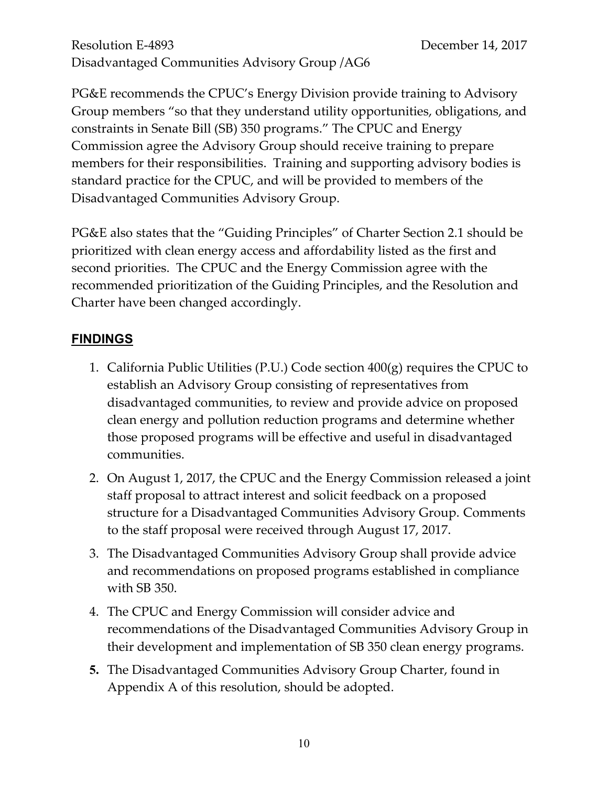PG&E recommends the CPUC's Energy Division provide training to Advisory Group members "so that they understand utility opportunities, obligations, and constraints in Senate Bill (SB) 350 programs." The CPUC and Energy Commission agree the Advisory Group should receive training to prepare members for their responsibilities. Training and supporting advisory bodies is standard practice for the CPUC, and will be provided to members of the Disadvantaged Communities Advisory Group.

PG&E also states that the "Guiding Principles" of Charter Section 2.1 should be prioritized with clean energy access and affordability listed as the first and second priorities. The CPUC and the Energy Commission agree with the recommended prioritization of the Guiding Principles, and the Resolution and Charter have been changed accordingly.

#### **FINDINGS**

- 1. California Public Utilities (P.U.) Code section 400(g) requires the CPUC to establish an Advisory Group consisting of representatives from disadvantaged communities, to review and provide advice on proposed clean energy and pollution reduction programs and determine whether those proposed programs will be effective and useful in disadvantaged communities.
- 2. On August 1, 2017, the CPUC and the Energy Commission released a joint staff proposal to attract interest and solicit feedback on a proposed structure for a Disadvantaged Communities Advisory Group. Comments to the staff proposal were received through August 17, 2017.
- 3. The Disadvantaged Communities Advisory Group shall provide advice and recommendations on proposed programs established in compliance with SB 350.
- 4. The CPUC and Energy Commission will consider advice and recommendations of the Disadvantaged Communities Advisory Group in their development and implementation of SB 350 clean energy programs.
- **5.** The Disadvantaged Communities Advisory Group Charter, found in Appendix A of this resolution, should be adopted.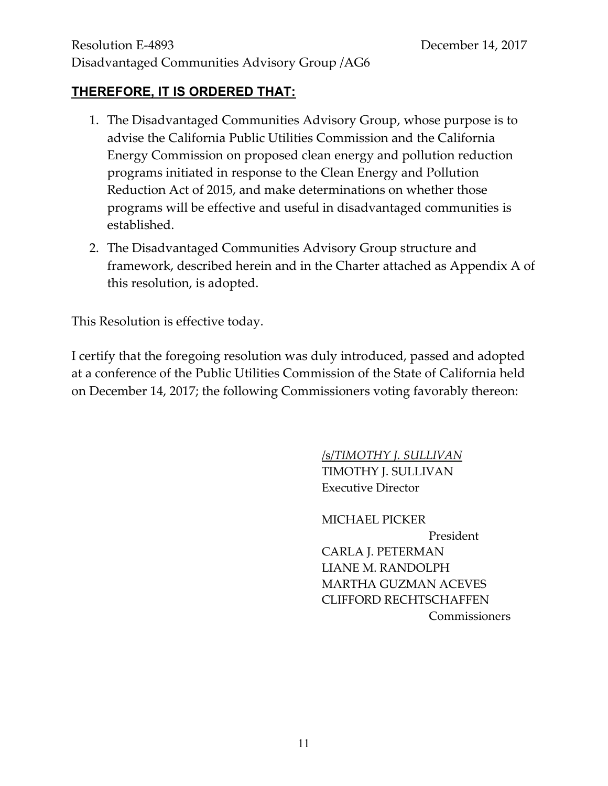### **THEREFORE, IT IS ORDERED THAT:**

- 1. The Disadvantaged Communities Advisory Group, whose purpose is to advise the California Public Utilities Commission and the California Energy Commission on proposed clean energy and pollution reduction programs initiated in response to the Clean Energy and Pollution Reduction Act of 2015, and make determinations on whether those programs will be effective and useful in disadvantaged communities is established.
- 2. The Disadvantaged Communities Advisory Group structure and framework, described herein and in the Charter attached as Appendix A of this resolution, is adopted.

This Resolution is effective today.

I certify that the foregoing resolution was duly introduced, passed and adopted at a conference of the Public Utilities Commission of the State of California held on December 14, 2017; the following Commissioners voting favorably thereon:

> /s/*TIMOTHY J. SULLIVAN* TIMOTHY J. SULLIVAN Executive Director

MICHAEL PICKER President CARLA J. PETERMAN LIANE M. RANDOLPH MARTHA GUZMAN ACEVES CLIFFORD RECHTSCHAFFEN Commissioners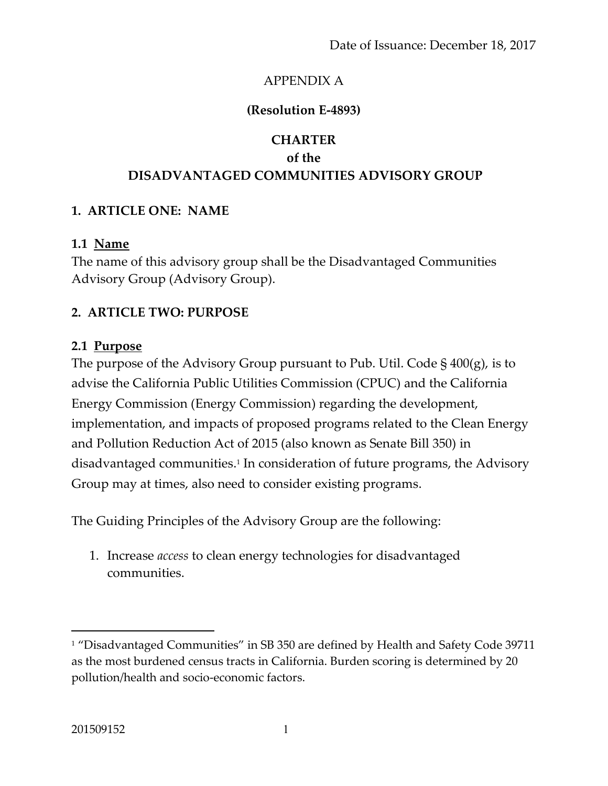# APPENDIX A

# **(Resolution E-4893)**

# **CHARTER of the DISADVANTAGED COMMUNITIES ADVISORY GROUP**

# **1. ARTICLE ONE: NAME**

#### **1.1 Name**

The name of this advisory group shall be the Disadvantaged Communities Advisory Group (Advisory Group).

# **2. ARTICLE TWO: PURPOSE**

#### **2.1 Purpose**

The purpose of the Advisory Group pursuant to Pub. Util. Code  $\S$  400(g), is to advise the California Public Utilities Commission (CPUC) and the California Energy Commission (Energy Commission) regarding the development, implementation, and impacts of proposed programs related to the Clean Energy and Pollution Reduction Act of 2015 (also known as Senate Bill 350) in disadvantaged communities. 1 In consideration of future programs, the Advisory Group may at times, also need to consider existing programs.

The Guiding Principles of the Advisory Group are the following:

1. Increase *access* to clean energy technologies for disadvantaged communities.

 $\overline{a}$ 

<sup>&</sup>lt;sup>1</sup> "Disadvantaged Communities" in SB 350 are defined by Health and Safety Code 39711 as the most burdened census tracts in California. Burden scoring is determined by 20 pollution/health and socio-economic factors.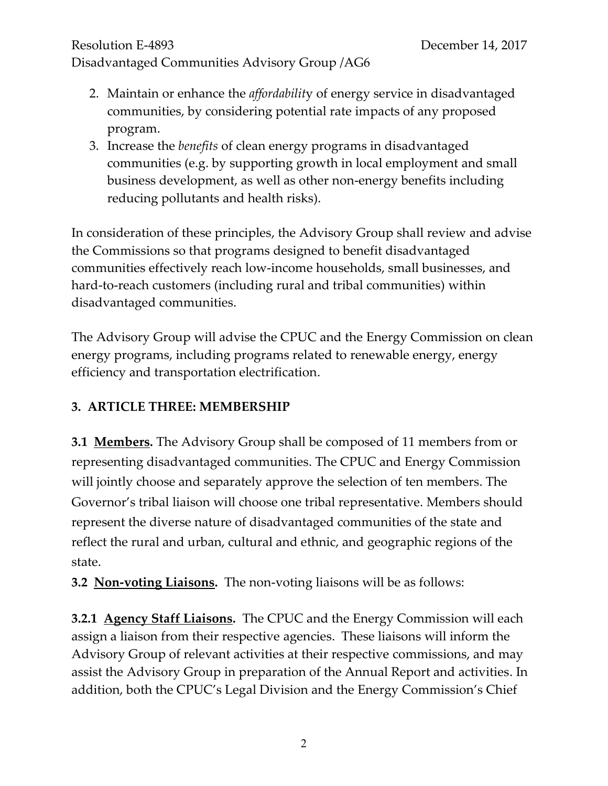# Resolution E-4893 December 14, 2017

# Disadvantaged Communities Advisory Group /AG6

- 2. Maintain or enhance the *affordabilit*y of energy service in disadvantaged communities, by considering potential rate impacts of any proposed program.
- 3. Increase the *benefits* of clean energy programs in disadvantaged communities (e.g. by supporting growth in local employment and small business development, as well as other non-energy benefits including reducing pollutants and health risks).

In consideration of these principles, the Advisory Group shall review and advise the Commissions so that programs designed to benefit disadvantaged communities effectively reach low-income households, small businesses, and hard-to-reach customers (including rural and tribal communities) within disadvantaged communities.

The Advisory Group will advise the CPUC and the Energy Commission on clean energy programs, including programs related to renewable energy, energy efficiency and transportation electrification.

# **3. ARTICLE THREE: MEMBERSHIP**

**3.1 Members.** The Advisory Group shall be composed of 11 members from or representing disadvantaged communities. The CPUC and Energy Commission will jointly choose and separately approve the selection of ten members. The Governor's tribal liaison will choose one tribal representative. Members should represent the diverse nature of disadvantaged communities of the state and reflect the rural and urban, cultural and ethnic, and geographic regions of the state.

**3.2 Non-voting Liaisons.** The non-voting liaisons will be as follows:

**3.2.1 Agency Staff Liaisons.** The CPUC and the Energy Commission will each assign a liaison from their respective agencies. These liaisons will inform the Advisory Group of relevant activities at their respective commissions, and may assist the Advisory Group in preparation of the Annual Report and activities. In addition, both the CPUC's Legal Division and the Energy Commission's Chief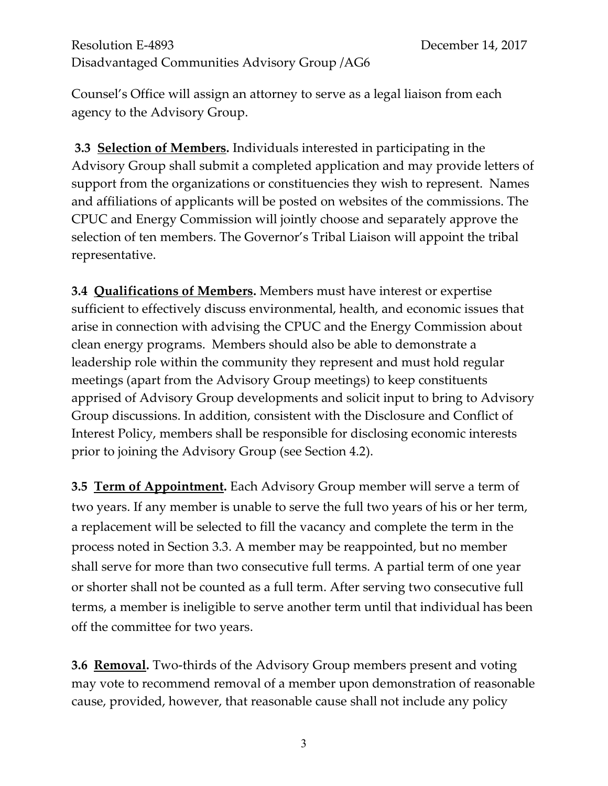Counsel's Office will assign an attorney to serve as a legal liaison from each agency to the Advisory Group.

**3.3 Selection of Members.** Individuals interested in participating in the Advisory Group shall submit a completed application and may provide letters of support from the organizations or constituencies they wish to represent. Names and affiliations of applicants will be posted on websites of the commissions. The CPUC and Energy Commission will jointly choose and separately approve the selection of ten members. The Governor's Tribal Liaison will appoint the tribal representative.

**3.4 Qualifications of Members.** Members must have interest or expertise sufficient to effectively discuss environmental, health, and economic issues that arise in connection with advising the CPUC and the Energy Commission about clean energy programs. Members should also be able to demonstrate a leadership role within the community they represent and must hold regular meetings (apart from the Advisory Group meetings) to keep constituents apprised of Advisory Group developments and solicit input to bring to Advisory Group discussions. In addition, consistent with the Disclosure and Conflict of Interest Policy, members shall be responsible for disclosing economic interests prior to joining the Advisory Group (see Section 4.2).

**3.5 Term of Appointment.** Each Advisory Group member will serve a term of two years. If any member is unable to serve the full two years of his or her term, a replacement will be selected to fill the vacancy and complete the term in the process noted in Section 3.3. A member may be reappointed, but no member shall serve for more than two consecutive full terms. A partial term of one year or shorter shall not be counted as a full term. After serving two consecutive full terms, a member is ineligible to serve another term until that individual has been off the committee for two years.

**3.6 <u>Removal</u>.** Two-thirds of the Advisory Group members present and voting may vote to recommend removal of a member upon demonstration of reasonable cause, provided, however, that reasonable cause shall not include any policy

3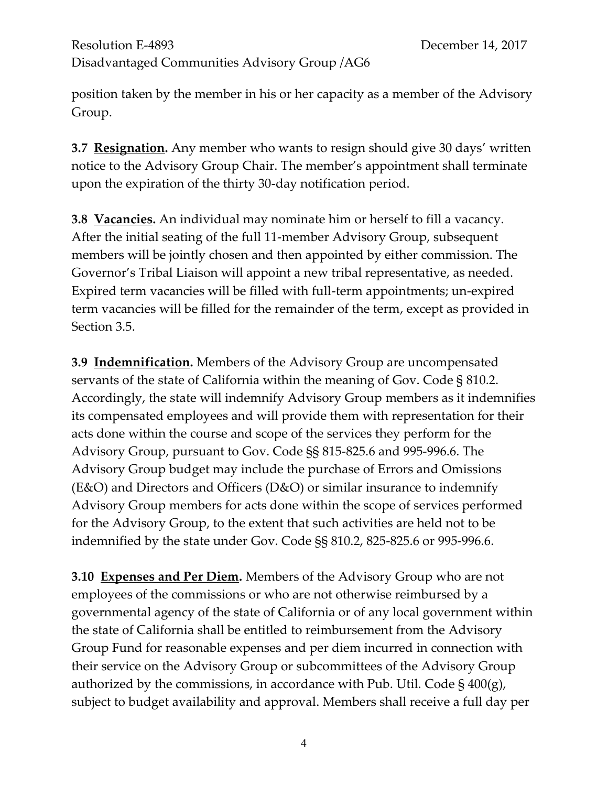position taken by the member in his or her capacity as a member of the Advisory Group.

**3.7 Resignation.** Any member who wants to resign should give 30 days' written notice to the Advisory Group Chair. The member's appointment shall terminate upon the expiration of the thirty 30-day notification period.

**3.8 Vacancies.** An individual may nominate him or herself to fill a vacancy. After the initial seating of the full 11-member Advisory Group, subsequent members will be jointly chosen and then appointed by either commission. The Governor's Tribal Liaison will appoint a new tribal representative, as needed. Expired term vacancies will be filled with full-term appointments; un-expired term vacancies will be filled for the remainder of the term, except as provided in Section 3.5.

**3.9 Indemnification.** Members of the Advisory Group are uncompensated servants of the state of California within the meaning of Gov. Code § 810.2. Accordingly, the state will indemnify Advisory Group members as it indemnifies its compensated employees and will provide them with representation for their acts done within the course and scope of the services they perform for the Advisory Group, pursuant to Gov. Code §§ 815-825.6 and 995-996.6. The Advisory Group budget may include the purchase of Errors and Omissions (E&O) and Directors and Officers (D&O) or similar insurance to indemnify Advisory Group members for acts done within the scope of services performed for the Advisory Group, to the extent that such activities are held not to be indemnified by the state under Gov. Code §§ 810.2, 825-825.6 or 995-996.6.

**3.10 Expenses and Per Diem.** Members of the Advisory Group who are not employees of the commissions or who are not otherwise reimbursed by a governmental agency of the state of California or of any local government within the state of California shall be entitled to reimbursement from the Advisory Group Fund for reasonable expenses and per diem incurred in connection with their service on the Advisory Group or subcommittees of the Advisory Group authorized by the commissions, in accordance with Pub. Util. Code  $\S$  400(g), subject to budget availability and approval. Members shall receive a full day per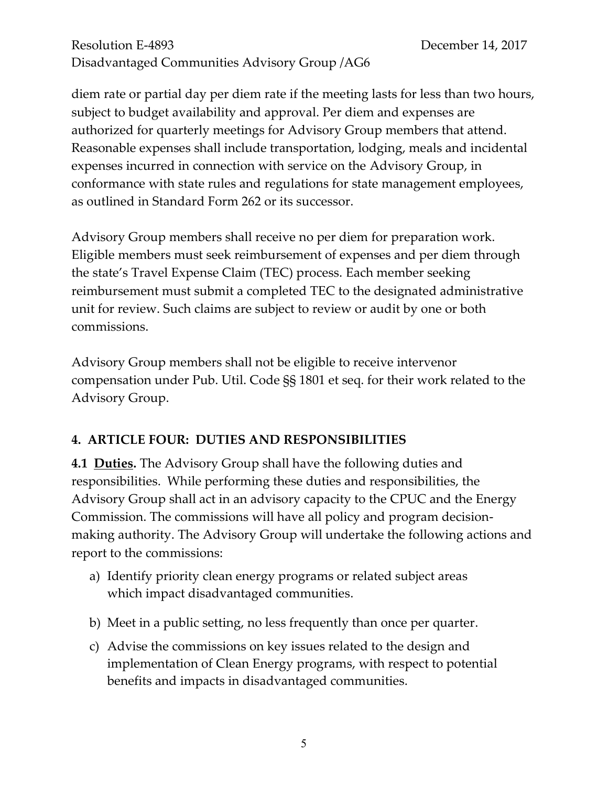diem rate or partial day per diem rate if the meeting lasts for less than two hours, subject to budget availability and approval. Per diem and expenses are authorized for quarterly meetings for Advisory Group members that attend. Reasonable expenses shall include transportation, lodging, meals and incidental expenses incurred in connection with service on the Advisory Group, in conformance with state rules and regulations for state management employees, as outlined in Standard Form 262 or its successor.

Advisory Group members shall receive no per diem for preparation work. Eligible members must seek reimbursement of expenses and per diem through the state's Travel Expense Claim (TEC) process. Each member seeking reimbursement must submit a completed TEC to the designated administrative unit for review. Such claims are subject to review or audit by one or both commissions.

Advisory Group members shall not be eligible to receive intervenor compensation under Pub. Util. Code §§ 1801 et seq. for their work related to the Advisory Group.

#### **4. ARTICLE FOUR: DUTIES AND RESPONSIBILITIES**

**4.1 Duties.** The Advisory Group shall have the following duties and responsibilities. While performing these duties and responsibilities, the Advisory Group shall act in an advisory capacity to the CPUC and the Energy Commission. The commissions will have all policy and program decisionmaking authority. The Advisory Group will undertake the following actions and report to the commissions:

- a) Identify priority clean energy programs or related subject areas which impact disadvantaged communities.
- b) Meet in a public setting, no less frequently than once per quarter.
- c) Advise the commissions on key issues related to the design and implementation of Clean Energy programs, with respect to potential benefits and impacts in disadvantaged communities.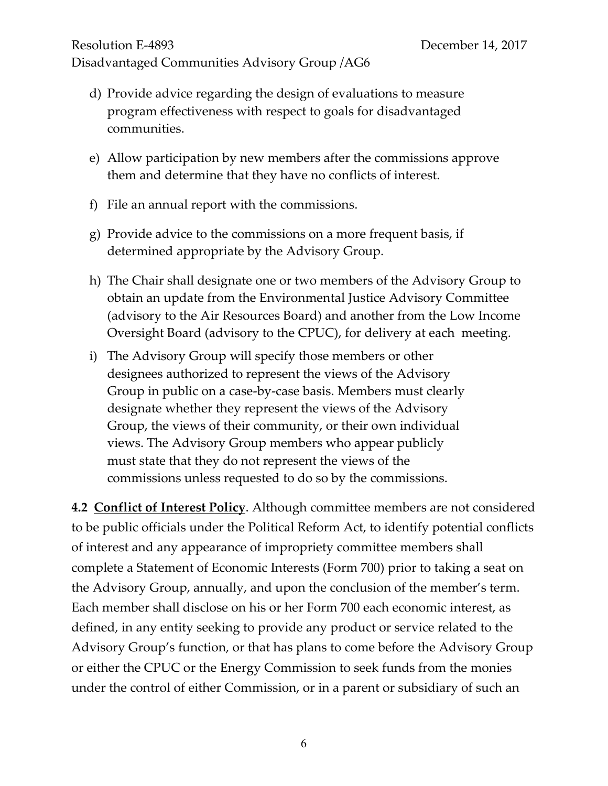- d) Provide advice regarding the design of evaluations to measure program effectiveness with respect to goals for disadvantaged communities.
- e) Allow participation by new members after the commissions approve them and determine that they have no conflicts of interest.
- f) File an annual report with the commissions.
- g) Provide advice to the commissions on a more frequent basis, if determined appropriate by the Advisory Group.
- h) The Chair shall designate one or two members of the Advisory Group to obtain an update from the Environmental Justice Advisory Committee (advisory to the Air Resources Board) and another from the Low Income Oversight Board (advisory to the CPUC), for delivery at each meeting.
- i) The Advisory Group will specify those members or other designees authorized to represent the views of the Advisory Group in public on a case-by-case basis. Members must clearly designate whether they represent the views of the Advisory Group, the views of their community, or their own individual views. The Advisory Group members who appear publicly must state that they do not represent the views of the commissions unless requested to do so by the commissions.

**4.2 Conflict of Interest Policy**. Although committee members are not considered to be public officials under the Political Reform Act, to identify potential conflicts of interest and any appearance of impropriety committee members shall complete a Statement of Economic Interests (Form 700) prior to taking a seat on the Advisory Group, annually, and upon the conclusion of the member's term. Each member shall disclose on his or her Form 700 each economic interest, as defined, in any entity seeking to provide any product or service related to the Advisory Group's function, or that has plans to come before the Advisory Group or either the CPUC or the Energy Commission to seek funds from the monies under the control of either Commission, or in a parent or subsidiary of such an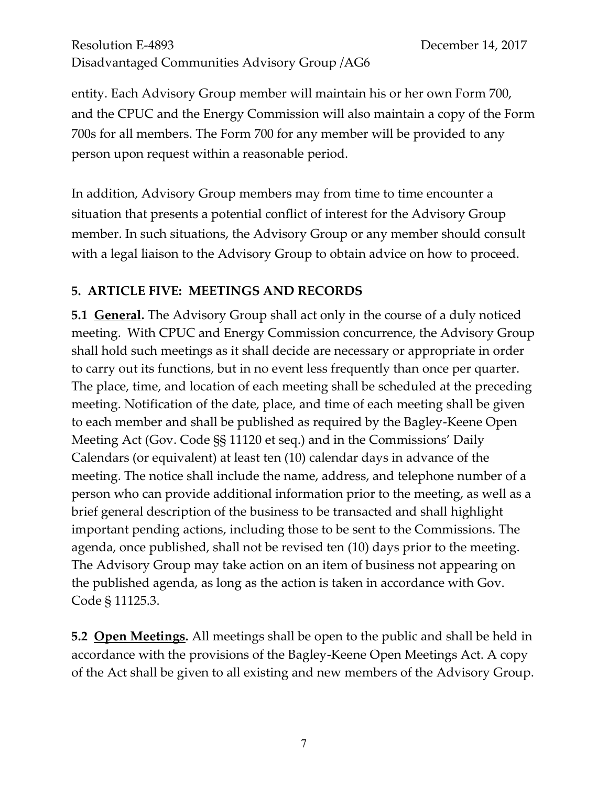entity. Each Advisory Group member will maintain his or her own Form 700, and the CPUC and the Energy Commission will also maintain a copy of the Form 700s for all members. The Form 700 for any member will be provided to any person upon request within a reasonable period.

In addition, Advisory Group members may from time to time encounter a situation that presents a potential conflict of interest for the Advisory Group member. In such situations, the Advisory Group or any member should consult with a legal liaison to the Advisory Group to obtain advice on how to proceed.

# **5. ARTICLE FIVE: MEETINGS AND RECORDS**

**5.1 General.** The Advisory Group shall act only in the course of a duly noticed meeting. With CPUC and Energy Commission concurrence, the Advisory Group shall hold such meetings as it shall decide are necessary or appropriate in order to carry out its functions, but in no event less frequently than once per quarter. The place, time, and location of each meeting shall be scheduled at the preceding meeting. Notification of the date, place, and time of each meeting shall be given to each member and shall be published as required by the Bagley-Keene Open Meeting Act (Gov. Code §§ 11120 et seq.) and in the Commissions' Daily Calendars (or equivalent) at least ten (10) calendar days in advance of the meeting. The notice shall include the name, address, and telephone number of a person who can provide additional information prior to the meeting, as well as a brief general description of the business to be transacted and shall highlight important pending actions, including those to be sent to the Commissions. The agenda, once published, shall not be revised ten (10) days prior to the meeting. The Advisory Group may take action on an item of business not appearing on the published agenda, as long as the action is taken in accordance with Gov. Code § 11125.3.

**5.2 Open Meetings.** All meetings shall be open to the public and shall be held in accordance with the provisions of the Bagley-Keene Open Meetings Act. A copy of the Act shall be given to all existing and new members of the Advisory Group.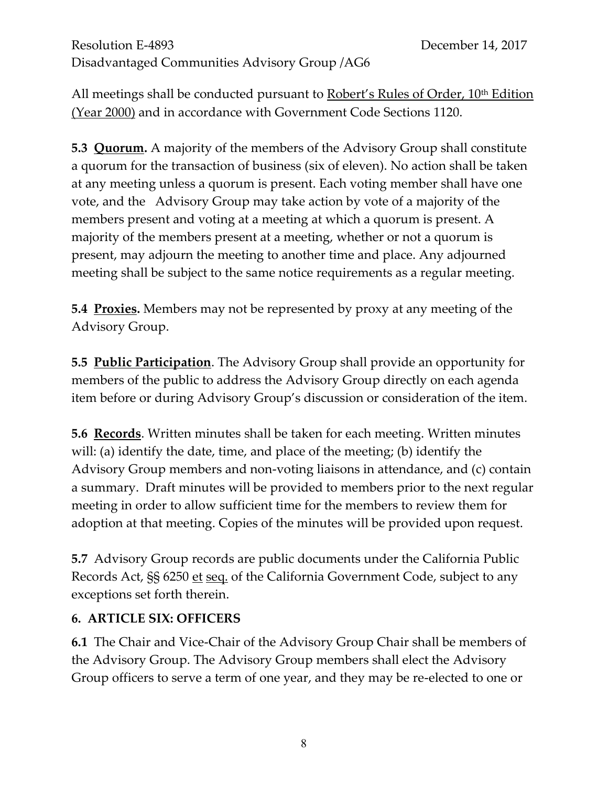All meetings shall be conducted pursuant to Robert's Rules of Order, 10<sup>th</sup> Edition (Year 2000) and in accordance with Government Code Sections 1120.

**5.3 Quorum.** A majority of the members of the Advisory Group shall constitute a quorum for the transaction of business (six of eleven). No action shall be taken at any meeting unless a quorum is present. Each voting member shall have one vote, and the Advisory Group may take action by vote of a majority of the members present and voting at a meeting at which a quorum is present. A majority of the members present at a meeting, whether or not a quorum is present, may adjourn the meeting to another time and place. Any adjourned meeting shall be subject to the same notice requirements as a regular meeting.

**5.4 Proxies.** Members may not be represented by proxy at any meeting of the Advisory Group.

**5.5 Public Participation**. The Advisory Group shall provide an opportunity for members of the public to address the Advisory Group directly on each agenda item before or during Advisory Group's discussion or consideration of the item.

**5.6 Records**. Written minutes shall be taken for each meeting. Written minutes will: (a) identify the date, time, and place of the meeting; (b) identify the Advisory Group members and non-voting liaisons in attendance, and (c) contain a summary. Draft minutes will be provided to members prior to the next regular meeting in order to allow sufficient time for the members to review them for adoption at that meeting. Copies of the minutes will be provided upon request.

**5.7** Advisory Group records are public documents under the California Public Records Act, SS 6250 et seq. of the California Government Code, subject to any exceptions set forth therein.

#### **6. ARTICLE SIX: OFFICERS**

**6.1** The Chair and Vice-Chair of the Advisory Group Chair shall be members of the Advisory Group. The Advisory Group members shall elect the Advisory Group officers to serve a term of one year, and they may be re-elected to one or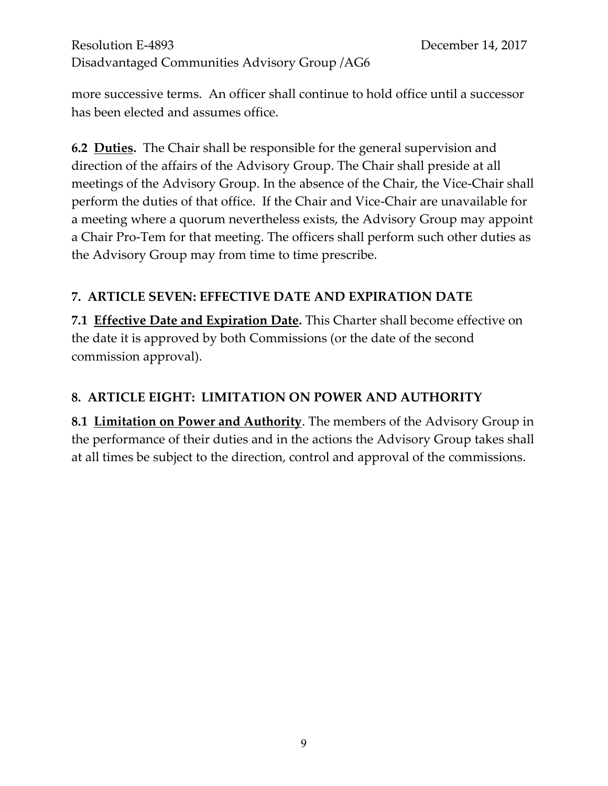more successive terms. An officer shall continue to hold office until a successor has been elected and assumes office.

**6.2 Duties.** The Chair shall be responsible for the general supervision and direction of the affairs of the Advisory Group. The Chair shall preside at all meetings of the Advisory Group. In the absence of the Chair, the Vice-Chair shall perform the duties of that office. If the Chair and Vice-Chair are unavailable for a meeting where a quorum nevertheless exists, the Advisory Group may appoint a Chair Pro-Tem for that meeting. The officers shall perform such other duties as the Advisory Group may from time to time prescribe.

# **7. ARTICLE SEVEN: EFFECTIVE DATE AND EXPIRATION DATE**

**7.1 Effective Date and Expiration Date.** This Charter shall become effective on the date it is approved by both Commissions (or the date of the second commission approval).

# **8. ARTICLE EIGHT: LIMITATION ON POWER AND AUTHORITY**

**8.1 Limitation on Power and Authority**. The members of the Advisory Group in the performance of their duties and in the actions the Advisory Group takes shall at all times be subject to the direction, control and approval of the commissions.